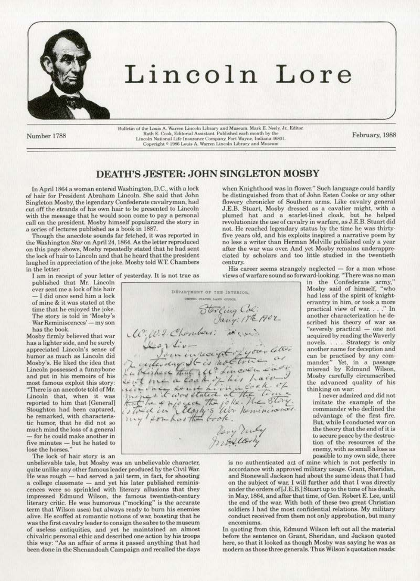

# Lincoln Lore

Number 1788

Bulletin of the Louis A. Warren Lincoln Library and Museum. Mark E. Neely, Jr., Editor. Ruth E. Cook, Editorial Assistant. Published each month by the Lincoln National Life Insurance Company, Fort Wayne, Indiana 46801.<br>Copyright © 1986 Louis A. Warren Lincoln Library and Museum

February, 1988

# **DEATH'S JESTER: JOHN SINGLETON MOSBY**

In April 1864 a woman entered Washington, D.C., with a lock of hair for President Abraham Lincoln. She said that John Singleton Mosby, the legendary Confederate cavalryman, had cut off the strands of his own hair to be presented to Lincoln with the message that he would soon come to pay a personal call on the president. Mosby himself popularized the story in a series of lectures published as a book in 1887.

Though the anecdote sounds far fetched, it was reported in the Washington Star on April 24, 1864. As the letter reproduced on this page shows, Mosby repeatedly stated that he had sent the lock of hair to Lincoln and that he heard that the president laughed in appreciation of the joke. Mosby told W.T. Chambers in the letter:

I am in receipt of your letter of yesterday. It is not true as

published that Mr. Lincoln ever sent me a lock of his hair I did once send him a lock of mine & it was stated at the time that he enjoyed the joke. The story is told in 'Mosby's War Reminiscences' - my son has the book.

Mosby firmly believed that war has a lighter side, and he surely appreciated Lincoln's sense of humor as much as Lincoln did Mosby's. He liked the idea that Lincoln possessed a funnybone and put in his memoirs of his most famous exploit this story: "There is an anecdote told of Mr. Lincoln that, when it was reported to him that [General] Stoughton had been captured, he remarked, with characteristic humor, that he did not so much mind the loss of a general - for he could make another in five minutes - but he hated to lose the horses."

The lock of hair story is an

unbelievable tale, but Mosby was an unbelievable character, quite unlike any other famous leader produced by the Civil War. He was rough - had served a jail term, in fact, for shooting a college classmate - and yet his later published reminiscences were so sprinkled with literary allusions that they impressed Edmund Wilson, the famous twentieth-century literary critic. He was humorous ("mocking" is the accurate term that Wilson uses) but always ready to burn his enemies alive. He scoffed at romantic notions of war, boasting that he was the first cavalry leader to consign the sabre to the museum of useless antiquities, and yet he maintained an almost chivalric personal ethic and described one action by his troops this way: "As an affair of arms it passed anything that had been done in the Shenandoah Campaign and recalled the days

when Knighthood was in flower." Such language could hardly be distinguished from that of John Esten Cooke or any other flowery chronicler of Southern arms. Like cavalry general J.E.B. Stuart, Mosby dressed as a cavalier might, with a plumed hat and a scarlet-lined cloak, but he helped revolutionize the use of cavalry in warfare, as J.E.B. Stuart did not. He reached legendary status by the time he was thirtyfive years old, and his exploits inspired a narrative poem by no less a writer than Herman Melville published only a year after the war was over. And yet Mosby remains underappreciated by scholars and too little studied in the twentieth century.

His career seems strangely neglected  $-$  for a man whose<br>views of warfare sound so forward-looking. "There was no man

in the Confederate army, Mosby said of himself, "who had less of the spirit of knighterrantry in him, or took a more practical view of war. . . ." In another characterization he described his theory of war as "severely practical - one not acquired by reading the Waverly novels. . . . Strategy is only another name for deception and can be practised by any com-<br>mander." Yet, in a passage misread by Edmund Wilson, Mosby carefully circumscribed the advanced quality of his thinking on war:

I never admired and did not imitate the example of the commander who declined the advantage of the first fire. But, while I conducted war on the theory that the end of it is to secure peace by the destruction of the resources of the enemy, with as small a loss as possible to my own side, there

is no authenticated act of mine which is not perfectly in accordance with approved military usage. Grant, Sheridan, and Stonewall Jackson had about the same ideas that I had on the subject of war. I will further add that I was directly under the orders of [J.E.B.] Stuart up to the time of his death, in May, 1864, and after that time, of Gen. Robert E. Lee, until the end of the war. With both of these two great Christian soldiers I had the most confidential relations. My military conduct received from them not only approbation, but many encomiums.

In quoting from this, Edmund Wilson left out all the material before the sentence on Grant, Sheridan, and Jackson quoted here, so that it looked as though Mosby was saying he was as modern as those three generals. Thus Wilson's quotation reads:

DÉPARTMENT OF THE INTERIOR. **DETED STATES LAND OFFICE** Stording Col:<br>Jany: 17th 1902 Leon div-<br>Leon div-<br>La bente du Contre de Comme de la Comme de Comme de Comme de Comme de Comme de Comme de la Comme<br>La bente me de Comme de la Comme de la Comme de la Comme de la Comme de la Comme<br>Retire en le comme de la Very Vivey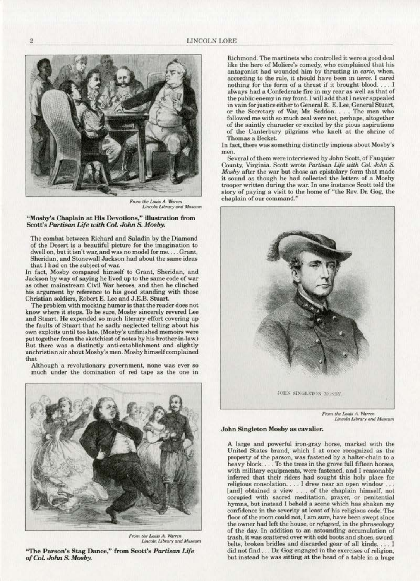

*From the Louis A.* Warren *Lincoln Library* and Museum

#### **..-Mosby's Chaplain at His Devotions," illustration from**  Scott's Partisan Life with Col. John S. Mosby.

The combat between Richard and Saladin by the Diamond **of the Desert is a beautiful picture for the imagination to**  dwell on, but it isn't war, and was no model for me. . . . Grant, Sheridan, and Stonewall Jackson had about the same ideas **that I had on the subject of war.** 

In fact, Mosby compared himself to Grant, Sheridan, and **Jackson by way of saying he lived up to the same code of war**  as other mainstream Civil War heroes, and then he clinched **his argument by reference to his good standing with those**  Christian soldiers. Robert E. Lee and J .E.B. Stuart.

**The problem with mocking humor is that the reader does not know where it stops. 10 be sure. Mosby sincerely revered Lee and Stuart. He expended so much literary effort covering up**  the faults of Stuart that he sadly neglected telling about his own exploits until too late. (Mosby's unfinished memoirs were put together from the sketchiest of notes by his brother-in-law.) **But there was a distinctly anti-establishment and slightly unchristian air about Mosby's men. Mosby himse1f complained**  that

**Although a revolutionary government, none was ever so much under the domination of red tape as the one in** 



*From the Louis A. Warren*<br>*Lincoln Library and Museum* 

"The Parson's Stag Dance," from Scott's Partisan Life of Col. John S. Mosby.

Richmond. The martinets who controlled it were a good deal like the hero of Moliere's comedy, who complained that his **antagonist had wounded him by thrusting in** *carte,* **when, according to the rule, it shouJd have been in fierce. I cared**  nothing for the form of a thrust if it brought blood ... . I **always had a Confederate fire in my rear as well as that of**  the public enemy in my front. I will add that I never appealed **in vain for justice either to General R. E. Lee, General Stuart,**  or the Secretary of War, Mr. Seddon. . . . The men who followed me with so much zeal were not, perhaps, altogether **of the saintly character or excited by the pious aspirations**  of the Canterbury pilgrims who knelt at the shrine of Thomas a Becket.

**ln fae4 there was something distinctly impious about Mosby's men.** 

**Several of them were interviewed by John Scott. of Fauquier**  County, Virginia. Scott wrote *Partisan Life with Col. John S. Mosby* after the war but chose an epistolary form that made it sound as though he had collected the letters of a Mosby **trooper written during the war. ln one instance Scott told the**  story of paying a visit to the home of "the Rev. Dr. Gog, the chaplain of our command."



 $Lincoh$  *Library* and Museum

#### John Singleton Mosby as cavalier.

A large and powerful iron·gray horse, marked with the United States brand, which I at once recognized as the property of the parson, was fastened by a halter-chain to a heavy block .... 1b the trees in the grove full fifteen horses, **with military equipments, were fastened, and I reasonably**  inferred that their riders had sought this holy place for **reHgious oonsolation .** ... ( **drew near an open window** ... **(and) obtained a view** . .. **of the chaplain himself. not occupied with sacred meditation, prayer, or penitential**  hymns, but instead I beheld a scene which has shaken my confidence in the severity at least of his religious code. The floor of the room could not, I am sure, have been swept since the owner had left the house, or *refugeed*, in the phraseology **of the day. In addition** *to* **an astounding accumulation of trash, it was scattered over with odd boots and shoes, sword·**  belts, broken bridles and discarded gear of all kinds.... I **did not find** . .. **Dr: Gog engaged in the exercises of religion, but instead he was sitting at the head of a table in a huge**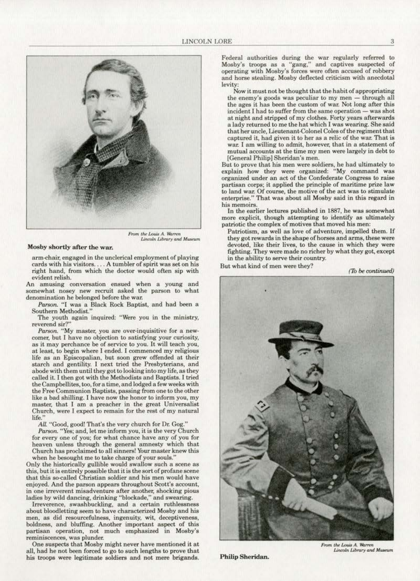

From the Louis A. Warren<br>Lincoln Library and Museum

#### Mosby shortly after the war.

arm-chair, engaged in the unclerical employment of playing cards with his visitors.... A tumbler of spirit was set on his right hand, from which the doctor would often sip with evident relish.

An amusing conversation ensued when a young and somewhat nosey new recruit asked the parson to what denomination he belonged before the war.

Parson. "I was a Black Rock Baptist, and had been a Southern Methodist."

The youth again inquired: "Were you in the ministry, reverend sir?"

Parson. "My master, you are over-inquisitive for a newcomer, but I have no objection to satisfying your curiosity, as it may perchance be of service to you. It will teach you, at least, to begin where I ended. I commenced my religious life as an Episcopalian, but soon grew offended at their starch and gentility. I next tried the Presbyterians, and abode with them until they got to looking into my life, as they called it. I then got with the Methodists and Baptists. I tried the Campbellites, too, for a time, and lodged a few weeks with the Free Communion Baptists, passing from one to the other like a bad shilling. I have now the honor to inform you, my master, that I am a preacher in the great Universalist Church, were I expect to remain for the rest of my natural life."

All. "Good, good! That's the very church for Dr. Gog."

Parson. "Yes; and, let me inform you, it is the very Church for every one of you; for what chance have any of you for heaven unless through the general amnesty which that Church has proclaimed to all sinners! Your master knew this when he besought me to take charge of your souls.'

Only the historically gullible would swallow such a scene as this, but it is entirely possible that it is the sort of profane scene that this so-called Christian soldier and his men would have enjoyed. And the parson appears throughout Scott's account, in one irreverent misadventure after another, shocking pious ladies by wild dancing, drinking "blockade," and swearing.

Irreverence, swashbuckling, and a certain ruthlessness about bloodletting seem to have characterized Mosby and his men, as did resourcefulness, ingenuity, wit, deceptiveness, boldness, and bluffing. Another important aspect of this partisan operation, not much emphasized in Mosby's reminiscences, was plunder.

One suspects that Mosby might never have mentioned it at all, had he not been forced to go to such lengths to prove that his troops were legitimate soldiers and not mere brigands.

Federal authorities during the war regularly referred to Mosby's troops as a "gang," and captives suspected of operating with Mosby's forces were often accused of robbery and horse stealing. Mosby deflected criticism with anecdotal levity.

Now it must not be thought that the habit of appropriating the enemy's goods was peculiar to my men - through all the ages it has been the custom of war. Not long after this incident I had to suffer from the same operation - was shot at night and stripped of my clothes. Forty years afterwards a lady returned to me the hat which I was wearing. She said that her uncle, Lieutenant-Colonel Coles of the regiment that captured it, had given it to her as a relic of the war. That is war. I am willing to admit, however, that in a statement of mutual accounts at the time my men were largely in debt to [General Philip] Sheridan's men.

But to prove that his men were soldiers, he had ultimately to explain how they were organized: "My command was organized under an act of the Confederate Congress to raise partisan corps; it applied the principle of maritime prize law to land war. Of course, the motive of the act was to stimulate enterprise." That was about all Mosby said in this regard in his memoirs

In the earlier lectures published in 1887, he was somewhat more explicit, though attempting to identify as ultimately patriotic the complex of motives that moved his men:

Patriotism, as well as love of adventure, impelled them. If they got rewards in the shape of horses and arms, these were devoted, like their lives, to the cause in which they were fighting. They were made no richer by what they got, except in the ability to serve their country.

But what kind of men were they?

(To be continued)



Philip Sheridan.

From the Louis A. Warren Lincoln Library and Museum